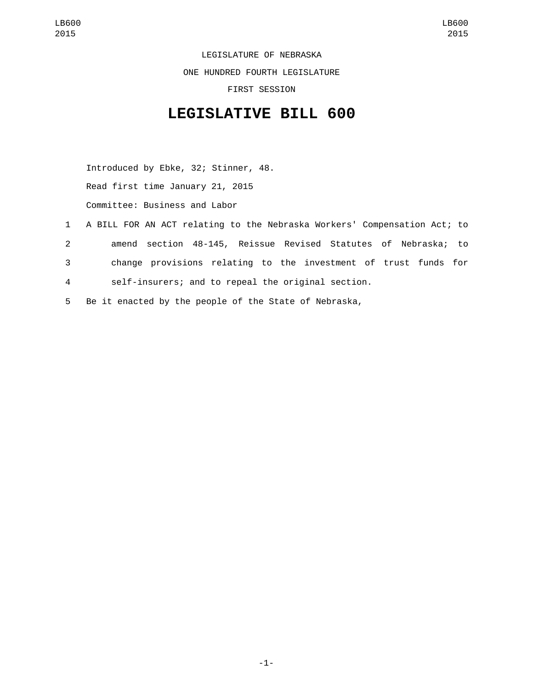LEGISLATURE OF NEBRASKA ONE HUNDRED FOURTH LEGISLATURE FIRST SESSION

## **LEGISLATIVE BILL 600**

Introduced by Ebke, 32; Stinner, 48. Read first time January 21, 2015 Committee: Business and Labor

- 1 A BILL FOR AN ACT relating to the Nebraska Workers' Compensation Act; to 2 amend section 48-145, Reissue Revised Statutes of Nebraska; to 3 change provisions relating to the investment of trust funds for 4 self-insurers; and to repeal the original section.
- 5 Be it enacted by the people of the State of Nebraska,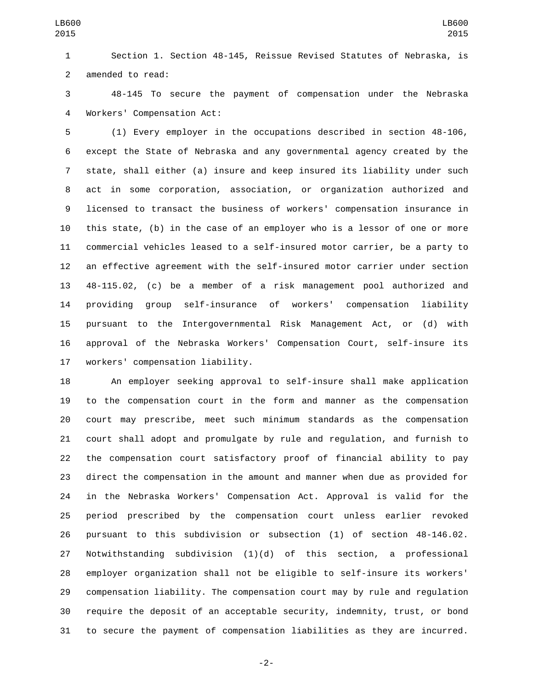Section 1. Section 48-145, Reissue Revised Statutes of Nebraska, is 2 amended to read:

 48-145 To secure the payment of compensation under the Nebraska Workers' Compensation Act:4

 (1) Every employer in the occupations described in section 48-106, except the State of Nebraska and any governmental agency created by the state, shall either (a) insure and keep insured its liability under such act in some corporation, association, or organization authorized and licensed to transact the business of workers' compensation insurance in this state, (b) in the case of an employer who is a lessor of one or more commercial vehicles leased to a self-insured motor carrier, be a party to an effective agreement with the self-insured motor carrier under section 48-115.02, (c) be a member of a risk management pool authorized and providing group self-insurance of workers' compensation liability pursuant to the Intergovernmental Risk Management Act, or (d) with approval of the Nebraska Workers' Compensation Court, self-insure its 17 workers' compensation liability.

 An employer seeking approval to self-insure shall make application to the compensation court in the form and manner as the compensation court may prescribe, meet such minimum standards as the compensation court shall adopt and promulgate by rule and regulation, and furnish to the compensation court satisfactory proof of financial ability to pay direct the compensation in the amount and manner when due as provided for in the Nebraska Workers' Compensation Act. Approval is valid for the period prescribed by the compensation court unless earlier revoked pursuant to this subdivision or subsection (1) of section 48-146.02. Notwithstanding subdivision (1)(d) of this section, a professional employer organization shall not be eligible to self-insure its workers' compensation liability. The compensation court may by rule and regulation require the deposit of an acceptable security, indemnity, trust, or bond to secure the payment of compensation liabilities as they are incurred.

-2-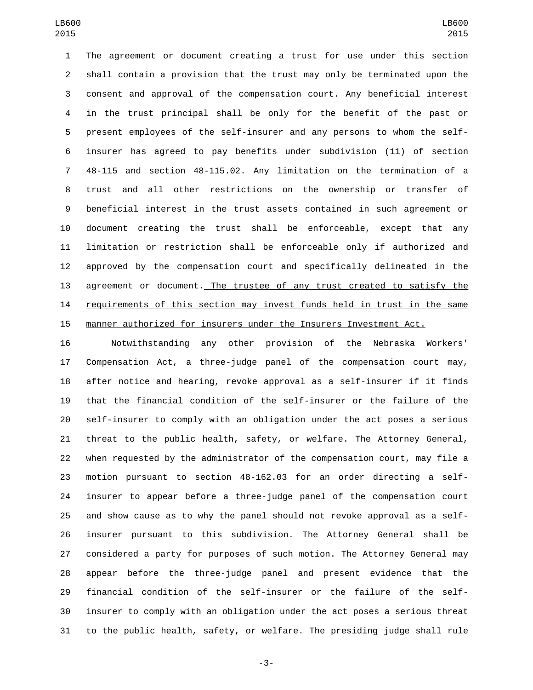The agreement or document creating a trust for use under this section shall contain a provision that the trust may only be terminated upon the consent and approval of the compensation court. Any beneficial interest in the trust principal shall be only for the benefit of the past or present employees of the self-insurer and any persons to whom the self- insurer has agreed to pay benefits under subdivision (11) of section 48-115 and section 48-115.02. Any limitation on the termination of a trust and all other restrictions on the ownership or transfer of beneficial interest in the trust assets contained in such agreement or document creating the trust shall be enforceable, except that any limitation or restriction shall be enforceable only if authorized and approved by the compensation court and specifically delineated in the agreement or document. The trustee of any trust created to satisfy the 14 requirements of this section may invest funds held in trust in the same manner authorized for insurers under the Insurers Investment Act.

 Notwithstanding any other provision of the Nebraska Workers' Compensation Act, a three-judge panel of the compensation court may, after notice and hearing, revoke approval as a self-insurer if it finds that the financial condition of the self-insurer or the failure of the self-insurer to comply with an obligation under the act poses a serious threat to the public health, safety, or welfare. The Attorney General, when requested by the administrator of the compensation court, may file a motion pursuant to section 48-162.03 for an order directing a self- insurer to appear before a three-judge panel of the compensation court and show cause as to why the panel should not revoke approval as a self- insurer pursuant to this subdivision. The Attorney General shall be considered a party for purposes of such motion. The Attorney General may appear before the three-judge panel and present evidence that the financial condition of the self-insurer or the failure of the self- insurer to comply with an obligation under the act poses a serious threat to the public health, safety, or welfare. The presiding judge shall rule

-3-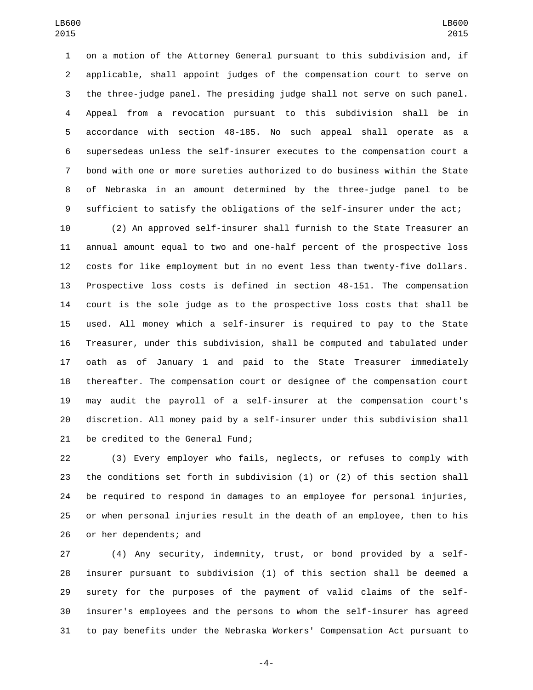on a motion of the Attorney General pursuant to this subdivision and, if applicable, shall appoint judges of the compensation court to serve on the three-judge panel. The presiding judge shall not serve on such panel. Appeal from a revocation pursuant to this subdivision shall be in accordance with section 48-185. No such appeal shall operate as a supersedeas unless the self-insurer executes to the compensation court a bond with one or more sureties authorized to do business within the State of Nebraska in an amount determined by the three-judge panel to be sufficient to satisfy the obligations of the self-insurer under the act;

 (2) An approved self-insurer shall furnish to the State Treasurer an annual amount equal to two and one-half percent of the prospective loss costs for like employment but in no event less than twenty-five dollars. Prospective loss costs is defined in section 48-151. The compensation court is the sole judge as to the prospective loss costs that shall be used. All money which a self-insurer is required to pay to the State Treasurer, under this subdivision, shall be computed and tabulated under oath as of January 1 and paid to the State Treasurer immediately thereafter. The compensation court or designee of the compensation court may audit the payroll of a self-insurer at the compensation court's discretion. All money paid by a self-insurer under this subdivision shall 21 be credited to the General Fund;

 (3) Every employer who fails, neglects, or refuses to comply with the conditions set forth in subdivision (1) or (2) of this section shall be required to respond in damages to an employee for personal injuries, or when personal injuries result in the death of an employee, then to his 26 or her dependents; and

 (4) Any security, indemnity, trust, or bond provided by a self- insurer pursuant to subdivision (1) of this section shall be deemed a surety for the purposes of the payment of valid claims of the self- insurer's employees and the persons to whom the self-insurer has agreed to pay benefits under the Nebraska Workers' Compensation Act pursuant to

-4-